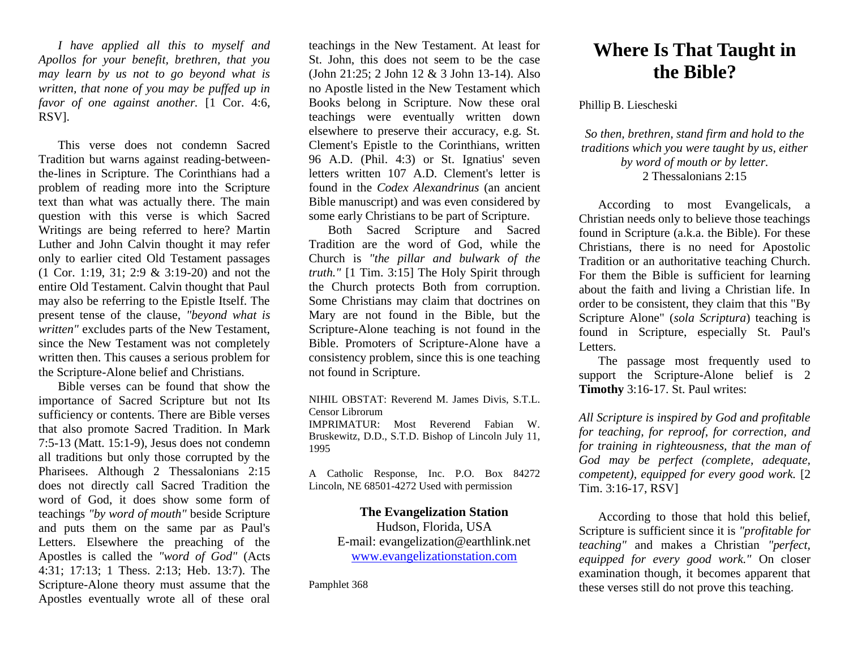*I have applied all this to myself and Apollos for your benefit, brethren, that you may learn by us not to go beyond what is written, that none of you may be puffed up in favor of one against another.* [1 Cor. 4:6, RSV].

This verse does not condemn Sacred Tradition but warns against reading-betweenthe-lines in Scripture. The Corinthians had a problem of reading more into the Scripture text than what was actually there. The main question with this verse is which Sacred Writings are being referred to here? Martin Luther and John Calvin thought it may refer only to earlier cited Old Testament passages (1 Cor. 1:19, 31; 2:9 & 3:19-20) and not the entire Old Testament. Calvin thought that Paul may also be referring to the Epistle Itself. The present tense of the clause, *"beyond what is written"* excludes parts of the New Testament, since the New Testament was not completely written then. This causes a serious problem for the Scripture-Alone belief and Christians.

Bible verses can be found that show the importance of Sacred Scripture but not Its sufficiency or contents. There are Bible verses that also promote Sacred Tradition. In Mark 7:5-13 (Matt. 15:1-9), Jesus does not condemn all traditions but only those corrupted by the Pharisees. Although 2 Thessalonians 2:15 does not directly call Sacred Tradition the word of God, it does show some form of teachings *"by word of mouth"* beside Scripture and puts them on the same par as Paul's Letters. Elsewhere the preaching of the Apostles is called the *"word of God"* (Acts 4:31; 17:13; 1 Thess. 2:13; Heb. 13:7). The Scripture-Alone theory must assume that the Apostles eventually wrote all of these oral

teachings in the New Testament. At least for St. John, this does not seem to be the case (John 21:25; 2 John 12 & 3 John 13-14). Also no Apostle listed in the New Testament which Books belong in Scripture. Now these oral teachings were eventually written down elsewhere to preserve their accuracy, e.g. St. Clement's Epistle to the Corinthians, written 96 A.D. (Phil. 4:3) or St. Ignatius' seven letters written 107 A.D. Clement's letter is found in the *Codex Alexandrinus* (an ancient Bible manuscript) and was even considered by some early Christians to be part of Scripture.

Both Sacred Scripture and Sacred Tradition are the word of God, while the Church is *"the pillar and bulwark of the truth."* [1 Tim. 3:15] The Holy Spirit through the Church protects Both from corruption. Some Christians may claim that doctrines on Mary are not found in the Bible, but the Scripture-Alone teaching is not found in the Bible. Promoters of Scripture-Alone have a consistency problem, since this is one teaching not found in Scripture.

NIHIL OBSTAT: Reverend M. James Divis, S.T.L. Censor Librorum IMPRIMATUR: Most Reverend Fabian W. Bruskewitz, D.D., S.T.D. Bishop of Lincoln July 11, 1995

A Catholic Response, Inc. P.O. Box 84272 Lincoln, NE 68501-4272 Used with permission

## **The Evangelization Station**

Hudson, Florida, USA E-mail: evangelization@earthlink.net [www.evangelizationstation.com](http://www.pjpiisoe.org/)

Pamphlet 368

## **Where Is That Taught in the Bible?**

## Phillip B. Liescheski

*So then, brethren, stand firm and hold to the traditions which you were taught by us, either by word of mouth or by letter.* 2 Thessalonians 2:15

According to most Evangelicals, a Christian needs only to believe those teachings found in Scripture (a.k.a. the Bible). For these Christians, there is no need for Apostolic Tradition or an authoritative teaching Church. For them the Bible is sufficient for learning about the faith and living a Christian life. In order to be consistent, they claim that this "By Scripture Alone" (*sola Scriptura*) teaching is found in Scripture, especially St. Paul's Letters.

The passage most frequently used to support the Scripture-Alone belief is 2 **Timothy** 3:16-17. St. Paul writes:

*All Scripture is inspired by God and profitable for teaching, for reproof, for correction, and for training in righteousness, that the man of God may be perfect (complete, adequate, competent), equipped for every good work.* [2 Tim. 3:16-17, RSV]

According to those that hold this belief, Scripture is sufficient since it is *"profitable for teaching"* and makes a Christian *"perfect, equipped for every good work."* On closer examination though, it becomes apparent that these verses still do not prove this teaching.